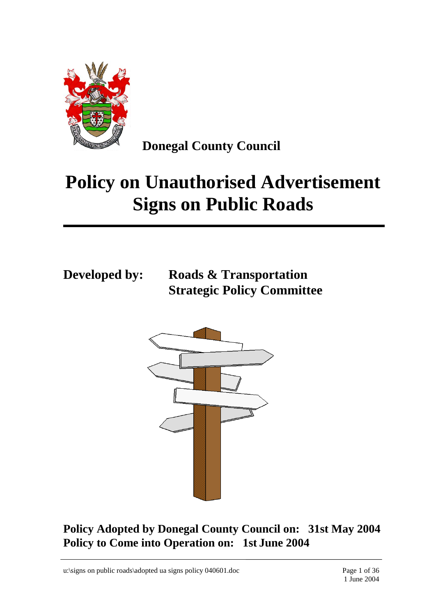

**Donegal County Council**

# **Policy on Unauthorised Advertisement Signs on Public Roads**

**Developed by: Roads & Transportation Strategic Policy Committee**



**Policy Adopted by Donegal County Council on: 31st May 2004 Policy to Come into Operation on: 1st June 2004**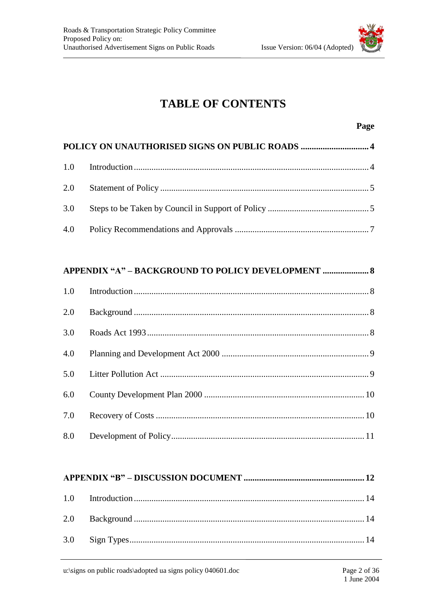

### **TABLE OF CONTENTS**

#### Page

#### APPENDIX "A" - BACKGROUND TO POLICY DEVELOPMENT ....................... 8

| 2.0 |  |
|-----|--|
| 3.0 |  |
| 4.0 |  |
|     |  |
| 6.0 |  |
| 7.0 |  |
|     |  |

###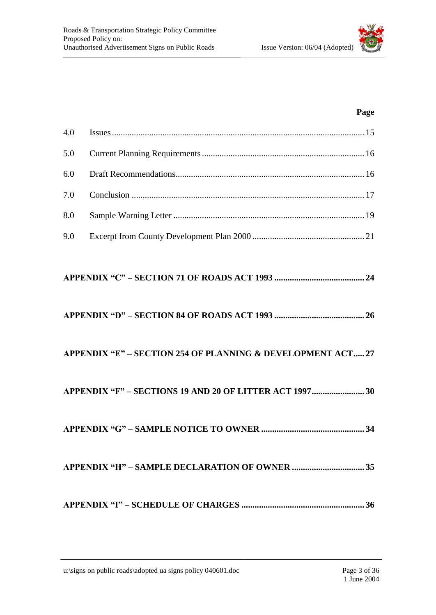| 8.0 |                                                            |  |
|-----|------------------------------------------------------------|--|
| 9.0 |                                                            |  |
|     |                                                            |  |
|     |                                                            |  |
|     | APPENDIX "E" - SECTION 254 OF PLANNING & DEVELOPMENT ACT27 |  |
|     |                                                            |  |
|     |                                                            |  |
|     |                                                            |  |
|     |                                                            |  |

5.0 Current Planning Requirements.......................................................................... 16 6.0 Draft Recommendations...................................................................................... 16 7.0 Conclusion .......................................................................................................... 17

4.0 Issues................................................................................................................... 15

#### **Page**

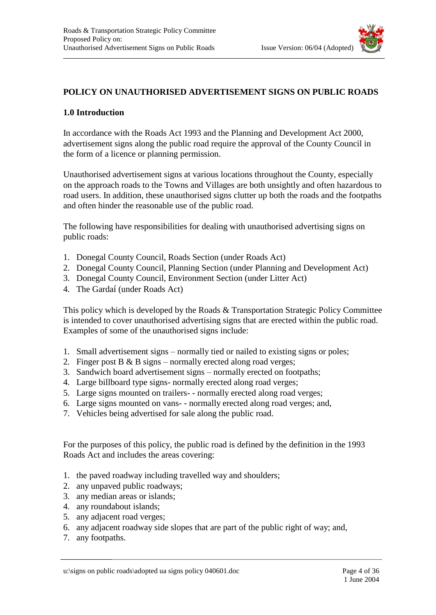

#### **POLICY ON UNAUTHORISED ADVERTISEMENT SIGNS ON PUBLIC ROADS**

#### **1.0 Introduction**

In accordance with the Roads Act 1993 and the Planning and Development Act 2000, advertisement signs along the public road require the approval of the County Council in the form of a licence or planning permission.

Unauthorised advertisement signs at various locations throughout the County, especially on the approach roads to the Towns and Villages are both unsightly and often hazardous to road users. In addition, these unauthorised signs clutter up both the roads and the footpaths and often hinder the reasonable use of the public road.

The following have responsibilities for dealing with unauthorised advertising signs on public roads:

- 1. Donegal County Council, Roads Section (under Roads Act)
- 2. Donegal County Council, Planning Section (under Planning and Development Act)
- 3. Donegal County Council, Environment Section (under Litter Act)
- 4. The Gardaí (under Roads Act)

This policy which is developed by the Roads & Transportation Strategic Policy Committee is intended to cover unauthorised advertising signs that are erected within the public road. Examples of some of the unauthorised signs include:

- 1. Small advertisement signs normally tied or nailed to existing signs or poles;
- 2. Finger post B & B signs normally erected along road verges;
- 3. Sandwich board advertisement signs normally erected on footpaths;
- 4. Large billboard type signs- normally erected along road verges;
- 5. Large signs mounted on trailers- normally erected along road verges;
- 6. Large signs mounted on vans- normally erected along road verges; and,
- 7. Vehicles being advertised for sale along the public road.

For the purposes of this policy, the public road is defined by the definition in the 1993 Roads Act and includes the areas covering:

- 1. the paved roadway including travelled way and shoulders;
- 2. any unpaved public roadways;
- 3. any median areas or islands;
- 4. any roundabout islands;
- 5. any adjacent road verges;
- 6. any adjacent roadway side slopes that are part of the public right of way; and,
- 7. any footpaths.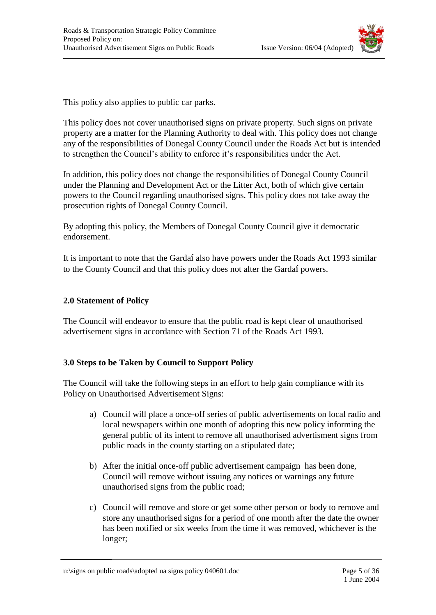

This policy also applies to public car parks.

This policy does not cover unauthorised signs on private property. Such signs on private property are a matter for the Planning Authority to deal with. This policy does not change any of the responsibilities of Donegal County Council under the Roads Act but is intended to strengthen the Council's ability to enforce it's responsibilities under the Act.

In addition, this policy does not change the responsibilities of Donegal County Council under the Planning and Development Act or the Litter Act, both of which give certain powers to the Council regarding unauthorised signs. This policy does not take away the prosecution rights of Donegal County Council.

By adopting this policy, the Members of Donegal County Council give it democratic endorsement.

It is important to note that the Gardaí also have powers under the Roads Act 1993 similar to the County Council and that this policy does not alter the Gardaí powers.

#### **2.0 Statement of Policy**

The Council will endeavor to ensure that the public road is kept clear of unauthorised advertisement signs in accordance with Section 71 of the Roads Act 1993.

#### **3.0 Steps to be Taken by Council to Support Policy**

The Council will take the following steps in an effort to help gain compliance with its Policy on Unauthorised Advertisement Signs:

- a) Council will place a once-off series of public advertisements on local radio and local newspapers within one month of adopting this new policy informing the general public of its intent to remove all unauthorised advertisment signs from public roads in the county starting on a stipulated date;
- b) After the initial once-off public advertisement campaign has been done, Council will remove without issuing any notices or warnings any future unauthorised signs from the public road;
- c) Council will remove and store or get some other person or body to remove and store any unauthorised signs for a period of one month after the date the owner has been notified or six weeks from the time it was removed, whichever is the longer;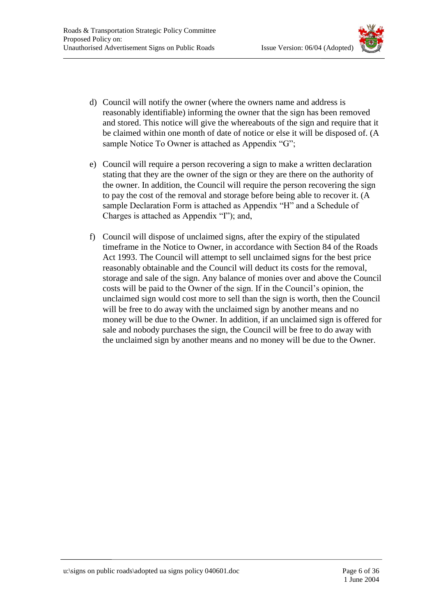

- 
- d) Council will notify the owner (where the owners name and address is reasonably identifiable) informing the owner that the sign has been removed and stored. This notice will give the whereabouts of the sign and require that it be claimed within one month of date of notice or else it will be disposed of. (A sample Notice To Owner is attached as Appendix "G";
- e) Council will require a person recovering a sign to make a written declaration stating that they are the owner of the sign or they are there on the authority of the owner. In addition, the Council will require the person recovering the sign to pay the cost of the removal and storage before being able to recover it. (A sample Declaration Form is attached as Appendix "H" and a Schedule of Charges is attached as Appendix "I"); and,
- f) Council will dispose of unclaimed signs, after the expiry of the stipulated timeframe in the Notice to Owner, in accordance with Section 84 of the Roads Act 1993. The Council will attempt to sell unclaimed signs for the best price reasonably obtainable and the Council will deduct its costs for the removal, storage and sale of the sign. Any balance of monies over and above the Council costs will be paid to the Owner of the sign. If in the Council's opinion, the unclaimed sign would cost more to sell than the sign is worth, then the Council will be free to do away with the unclaimed sign by another means and no money will be due to the Owner. In addition, if an unclaimed sign is offered for sale and nobody purchases the sign, the Council will be free to do away with the unclaimed sign by another means and no money will be due to the Owner.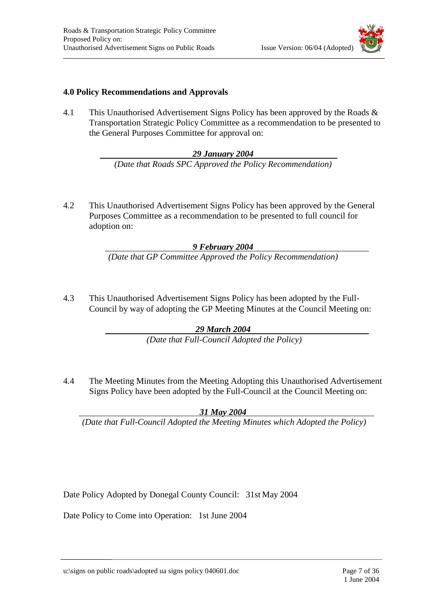

#### **4.0 Policy Recommendations and Approvals**

4.1 This Unauthorised Advertisement Signs Policy has been approved by the Roads & Transportation Strategic Policy Committee as a recommendation to be presented to the General Purposes Committee for approval on:

#### *29 January 2004*

*(Date that Roads SPC Approved the Policy Recommendation)*

4.2 This Unauthorised Advertisement Signs Policy has been approved by the General Purposes Committee as a recommendation to be presented to full council for adoption on:

#### *9 February 2004*

*(Date that GP Committee Approved the Policy Recommendation)*

4.3 This Unauthorised Advertisement Signs Policy has been adopted by the Full-Council by way of adopting the GP Meeting Minutes at the Council Meeting on:

#### *29 March 2004*

*(Date that Full-Council Adopted the Policy)*

4.4 The Meeting Minutes from the Meeting Adopting this Unauthorised Advertisement Signs Policy have been adopted by the Full-Council at the Council Meeting on:

*31 May 2004*

*(Date that Full-Council Adopted the Meeting Minutes which Adopted the Policy)*

Date Policy Adopted by Donegal County Council: 31st May 2004

Date Policy to Come into Operation: 1st June 2004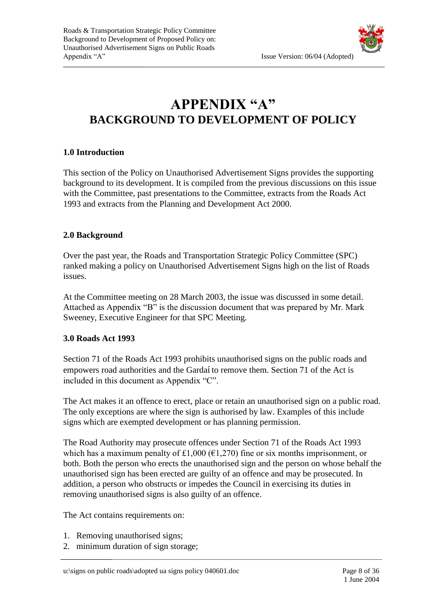

## **APPENDIX "A" BACKGROUND TO DEVELOPMENT OF POLICY**

#### **1.0 Introduction**

This section of the Policy on Unauthorised Advertisement Signs provides the supporting background to its development. It is compiled from the previous discussions on this issue with the Committee, past presentations to the Committee, extracts from the Roads Act 1993 and extracts from the Planning and Development Act 2000.

#### **2.0 Background**

Over the past year, the Roads and Transportation Strategic Policy Committee (SPC) ranked making a policy on Unauthorised Advertisement Signs high on the list of Roads issues.

At the Committee meeting on 28 March 2003, the issue was discussed in some detail. Attached as Appendix "B" is the discussion document that was prepared by Mr. Mark Sweeney, Executive Engineer for that SPC Meeting.

#### **3.0 Roads Act 1993**

Section 71 of the Roads Act 1993 prohibits unauthorised signs on the public roads and empowers road authorities and the Gardaí to remove them. Section 71 of the Act is included in this document as Appendix "C".

The Act makes it an offence to erect, place or retain an unauthorised sign on a public road. The only exceptions are where the sign is authorised by law. Examples of this include signs which are exempted development or has planning permission.

The Road Authority may prosecute offences under Section 71 of the Roads Act 1993 which has a maximum penalty of £1,000 ( $\epsilon$ 1,270) fine or six months imprisonment, or both. Both the person who erects the unauthorised sign and the person on whose behalf the unauthorised sign has been erected are guilty of an offence and may be prosecuted. In addition, a person who obstructs or impedes the Council in exercising its duties in removing unauthorised signs is also guilty of an offence.

The Act contains requirements on:

- 1. Removing unauthorised signs;
- 2. minimum duration of sign storage;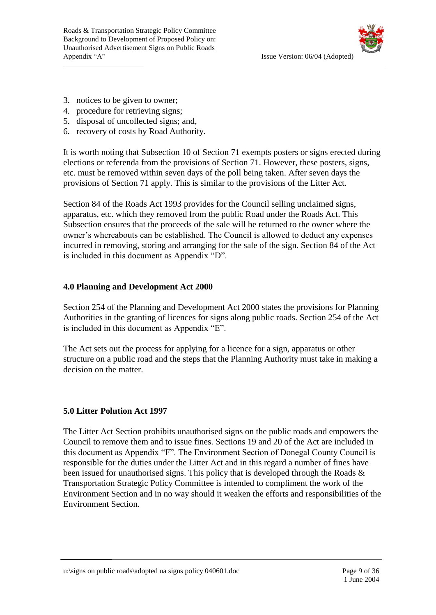

- 3. notices to be given to owner;
- 4. procedure for retrieving signs;
- 5. disposal of uncollected signs; and,
- 6. recovery of costs by Road Authority.

It is worth noting that Subsection 10 of Section 71 exempts posters or signs erected during elections or referenda from the provisions of Section 71. However, these posters, signs, etc. must be removed within seven days of the poll being taken. After seven days the provisions of Section 71 apply. This is similar to the provisions of the Litter Act.

Section 84 of the Roads Act 1993 provides for the Council selling unclaimed signs, apparatus, etc. which they removed from the public Road under the Roads Act. This Subsection ensures that the proceeds of the sale will be returned to the owner where the owner's whereabouts can be established. The Council is allowed to deduct any expenses incurred in removing, storing and arranging for the sale of the sign. Section 84 of the Act is included in this document as Appendix "D".

#### **4.0 Planning and Development Act 2000**

Section 254 of the Planning and Development Act 2000 states the provisions for Planning Authorities in the granting of licences for signs along public roads. Section 254 of the Act is included in this document as Appendix "E".

The Act sets out the process for applying for a licence for a sign, apparatus or other structure on a public road and the steps that the Planning Authority must take in making a decision on the matter.

#### **5.0 Litter Polution Act 1997**

The Litter Act Section prohibits unauthorised signs on the public roads and empowers the Council to remove them and to issue fines. Sections 19 and 20 of the Act are included in this document as Appendix "F". The Environment Section of Donegal County Council is responsible for the duties under the Litter Act and in this regard a number of fines have been issued for unauthorised signs. This policy that is developed through the Roads & Transportation Strategic Policy Committee is intended to compliment the work of the Environment Section and in no way should it weaken the efforts and responsibilities of the Environment Section.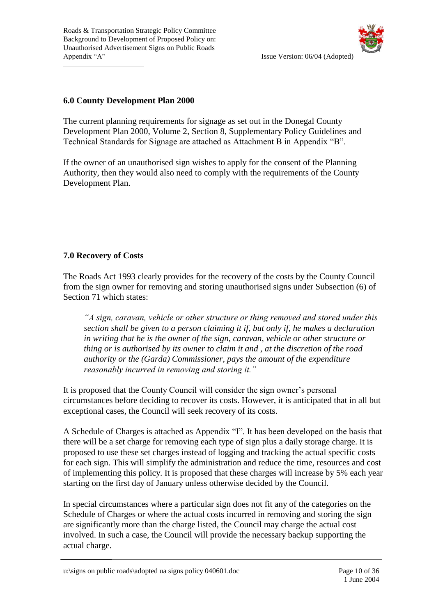

#### **6.0 County Development Plan 2000**

The current planning requirements for signage as set out in the Donegal County Development Plan 2000, Volume 2, Section 8, Supplementary Policy Guidelines and Technical Standards for Signage are attached as Attachment B in Appendix "B".

If the owner of an unauthorised sign wishes to apply for the consent of the Planning Authority, then they would also need to comply with the requirements of the County Development Plan.

#### **7.0 Recovery of Costs**

The Roads Act 1993 clearly provides for the recovery of the costs by the County Council from the sign owner for removing and storing unauthorised signs under Subsection (6) of Section 71 which states:

*"A sign, caravan, vehicle or other structure or thing removed and stored under this section shall be given to a person claiming it if, but only if, he makes a declaration in writing that he is the owner of the sign, caravan, vehicle or other structure or thing or is authorised by its owner to claim it and , at the discretion of the road authority or the (Garda) Commissioner, pays the amount of the expenditure reasonably incurred in removing and storing it."*

It is proposed that the County Council will consider the sign owner's personal circumstances before deciding to recover its costs. However, it is anticipated that in all but exceptional cases, the Council will seek recovery of its costs.

A Schedule of Charges is attached as Appendix "I". It has been developed on the basis that there will be a set charge for removing each type of sign plus a daily storage charge. It is proposed to use these set charges instead of logging and tracking the actual specific costs for each sign. This will simplify the administration and reduce the time, resources and cost of implementing this policy. It is proposed that these charges will increase by 5% each year starting on the first day of January unless otherwise decided by the Council.

In special circumstances where a particular sign does not fit any of the categories on the Schedule of Charges or where the actual costs incurred in removing and storing the sign are significantly more than the charge listed, the Council may charge the actual cost involved. In such a case, the Council will provide the necessary backup supporting the actual charge.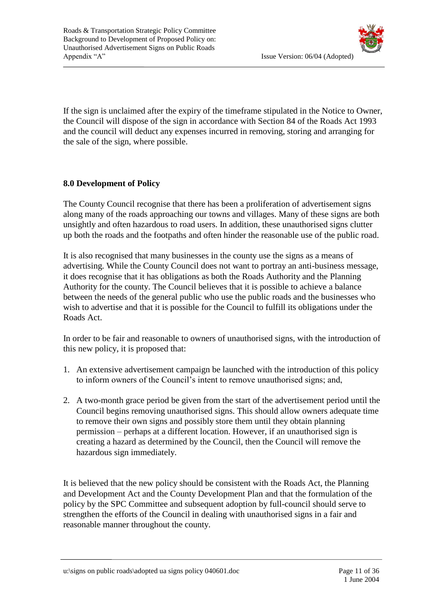If the sign is unclaimed after the expiry of the timeframe stipulated in the Notice to Owner, the Council will dispose of the sign in accordance with Section 84 of the Roads Act 1993 and the council will deduct any expenses incurred in removing, storing and arranging for the sale of the sign, where possible.

#### **8.0 Development of Policy**

The County Council recognise that there has been a proliferation of advertisement signs along many of the roads approaching our towns and villages. Many of these signs are both unsightly and often hazardous to road users. In addition, these unauthorised signs clutter up both the roads and the footpaths and often hinder the reasonable use of the public road.

It is also recognised that many businesses in the county use the signs as a means of advertising. While the County Council does not want to portray an anti-business message, it does recognise that it has obligations as both the Roads Authority and the Planning Authority for the county. The Council believes that it is possible to achieve a balance between the needs of the general public who use the public roads and the businesses who wish to advertise and that it is possible for the Council to fulfill its obligations under the Roads Act.

In order to be fair and reasonable to owners of unauthorised signs, with the introduction of this new policy, it is proposed that:

- 1. An extensive advertisement campaign be launched with the introduction of this policy to inform owners of the Council's intent to remove unauthorised signs; and,
- 2. A two-month grace period be given from the start of the advertisement period until the Council begins removing unauthorised signs. This should allow owners adequate time to remove their own signs and possibly store them until they obtain planning permission – perhaps at a different location. However, if an unauthorised sign is creating a hazard as determined by the Council, then the Council will remove the hazardous sign immediately.

It is believed that the new policy should be consistent with the Roads Act, the Planning and Development Act and the County Development Plan and that the formulation of the policy by the SPC Committee and subsequent adoption by full-council should serve to strengthen the efforts of the Council in dealing with unauthorised signs in a fair and reasonable manner throughout the county.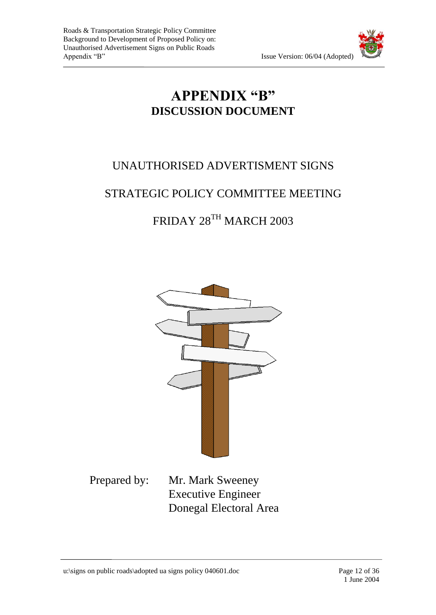

### **APPENDIX "B" DISCUSSION DOCUMENT**

### UNAUTHORISED ADVERTISMENT SIGNS

### STRATEGIC POLICY COMMITTEE MEETING

## FRIDAY 28TH MARCH 2003



Prepared by: Mr. Mark Sweeney Executive Engineer Donegal Electoral Area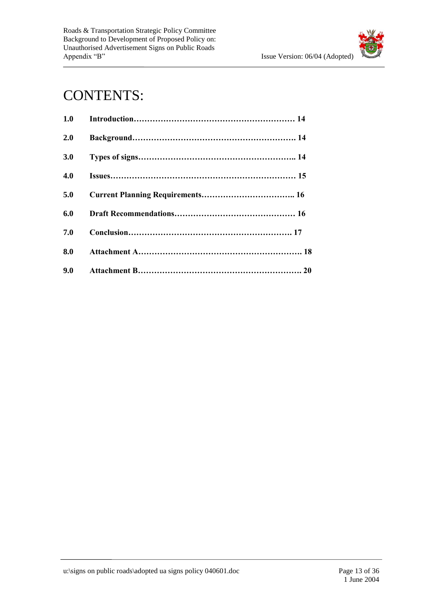

## CONTENTS:

| 1.0 |  |
|-----|--|
| 2.0 |  |
| 3.0 |  |
| 4.0 |  |
| 5.0 |  |
| 6.0 |  |
| 7.0 |  |
| 8.0 |  |
| 9.0 |  |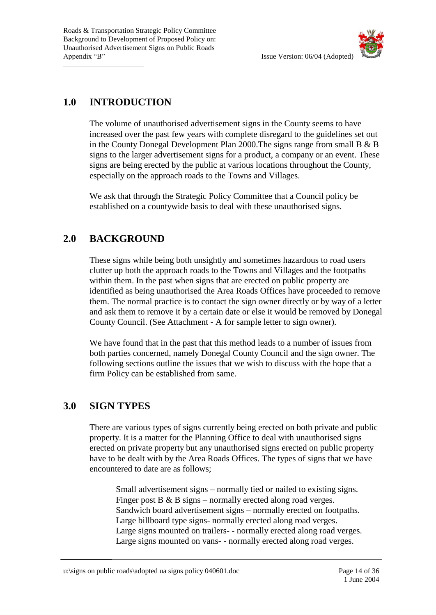



### **1.0 INTRODUCTION**

The volume of unauthorised advertisement signs in the County seems to have increased over the past few years with complete disregard to the guidelines set out in the County Donegal Development Plan 2000.The signs range from small B & B signs to the larger advertisement signs for a product, a company or an event. These signs are being erected by the public at various locations throughout the County, especially on the approach roads to the Towns and Villages.

We ask that through the Strategic Policy Committee that a Council policy be established on a countywide basis to deal with these unauthorised signs.

### **2.0 BACKGROUND**

These signs while being both unsightly and sometimes hazardous to road users clutter up both the approach roads to the Towns and Villages and the footpaths within them. In the past when signs that are erected on public property are identified as being unauthorised the Area Roads Offices have proceeded to remove them. The normal practice is to contact the sign owner directly or by way of a letter and ask them to remove it by a certain date or else it would be removed by Donegal County Council. (See Attachment - A for sample letter to sign owner).

We have found that in the past that this method leads to a number of issues from both parties concerned, namely Donegal County Council and the sign owner. The following sections outline the issues that we wish to discuss with the hope that a firm Policy can be established from same.

### **3.0 SIGN TYPES**

There are various types of signs currently being erected on both private and public property. It is a matter for the Planning Office to deal with unauthorised signs erected on private property but any unauthorised signs erected on public property have to be dealt with by the Area Roads Offices. The types of signs that we have encountered to date are as follows;

Small advertisement signs – normally tied or nailed to existing signs. Finger post  $B \& B \text{ signs}$  – normally erected along road verges. Sandwich board advertisement signs – normally erected on footpaths. Large billboard type signs- normally erected along road verges. Large signs mounted on trailers- - normally erected along road verges. Large signs mounted on vans- - normally erected along road verges.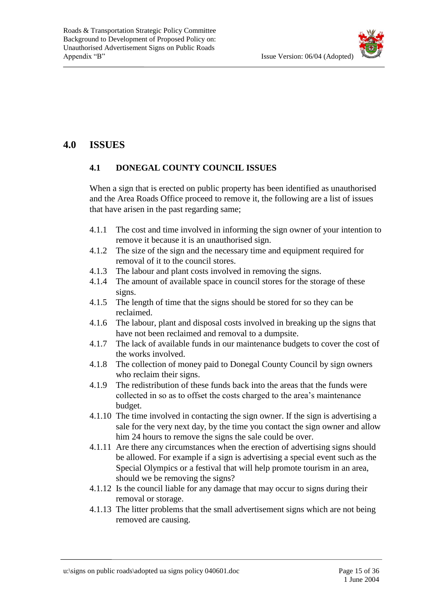

### **4.0 ISSUES**

#### **4.1 DONEGAL COUNTY COUNCIL ISSUES**

When a sign that is erected on public property has been identified as unauthorised and the Area Roads Office proceed to remove it, the following are a list of issues that have arisen in the past regarding same;

- 4.1.1 The cost and time involved in informing the sign owner of your intention to remove it because it is an unauthorised sign.
- 4.1.2 The size of the sign and the necessary time and equipment required for removal of it to the council stores.
- 4.1.3 The labour and plant costs involved in removing the signs.
- 4.1.4 The amount of available space in council stores for the storage of these signs.
- 4.1.5 The length of time that the signs should be stored for so they can be reclaimed.
- 4.1.6 The labour, plant and disposal costs involved in breaking up the signs that have not been reclaimed and removal to a dumpsite.
- 4.1.7 The lack of available funds in our maintenance budgets to cover the cost of the works involved.
- 4.1.8 The collection of money paid to Donegal County Council by sign owners who reclaim their signs.
- 4.1.9 The redistribution of these funds back into the areas that the funds were collected in so as to offset the costs charged to the area's maintenance budget.
- 4.1.10 The time involved in contacting the sign owner. If the sign is advertising a sale for the very next day, by the time you contact the sign owner and allow him 24 hours to remove the signs the sale could be over.
- 4.1.11 Are there any circumstances when the erection of advertising signs should be allowed. For example if a sign is advertising a special event such as the Special Olympics or a festival that will help promote tourism in an area, should we be removing the signs?
- 4.1.12 Is the council liable for any damage that may occur to signs during their removal or storage.
- 4.1.13 The litter problems that the small advertisement signs which are not being removed are causing.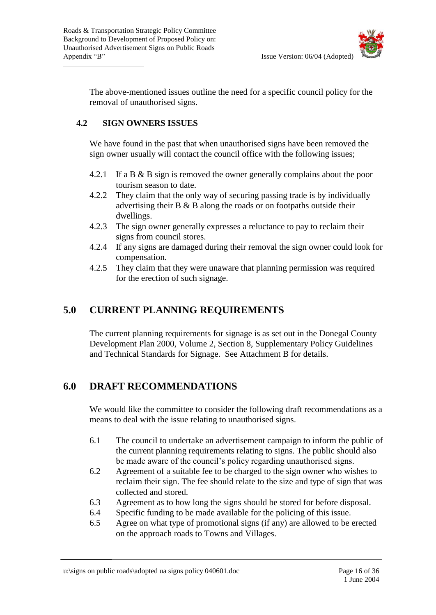

The above-mentioned issues outline the need for a specific council policy for the removal of unauthorised signs.

#### **4.2 SIGN OWNERS ISSUES**

We have found in the past that when unauthorised signs have been removed the sign owner usually will contact the council office with the following issues;

- 4.2.1 If a B & B sign is removed the owner generally complains about the poor tourism season to date.
- 4.2.2 They claim that the only way of securing passing trade is by individually advertising their B & B along the roads or on footpaths outside their dwellings.
- 4.2.3 The sign owner generally expresses a reluctance to pay to reclaim their signs from council stores.
- 4.2.4 If any signs are damaged during their removal the sign owner could look for compensation.
- 4.2.5 They claim that they were unaware that planning permission was required for the erection of such signage.

### **5.0 CURRENT PLANNING REQUIREMENTS**

The current planning requirements for signage is as set out in the Donegal County Development Plan 2000, Volume 2, Section 8, Supplementary Policy Guidelines and Technical Standards for Signage. See Attachment B for details.

### **6.0 DRAFT RECOMMENDATIONS**

We would like the committee to consider the following draft recommendations as a means to deal with the issue relating to unauthorised signs.

- 6.1 The council to undertake an advertisement campaign to inform the public of the current planning requirements relating to signs. The public should also be made aware of the council's policy regarding unauthorised signs.
- 6.2 Agreement of a suitable fee to be charged to the sign owner who wishes to reclaim their sign. The fee should relate to the size and type of sign that was collected and stored.
- 6.3 Agreement as to how long the signs should be stored for before disposal.
- 6.4 Specific funding to be made available for the policing of this issue.
- 6.5 Agree on what type of promotional signs (if any) are allowed to be erected on the approach roads to Towns and Villages.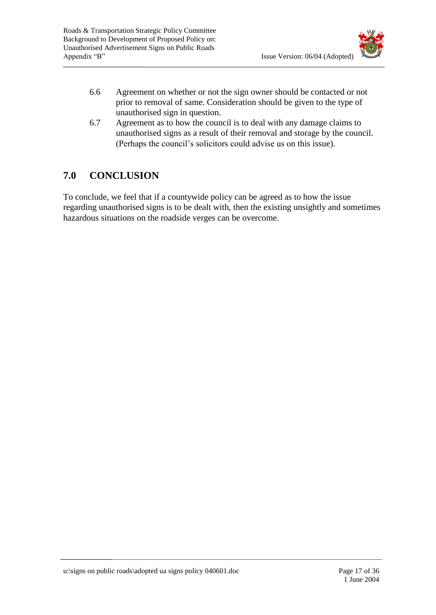

- 6.6 Agreement on whether or not the sign owner should be contacted or not prior to removal of same. Consideration should be given to the type of unauthorised sign in question.
- 6.7 Agreement as to how the council is to deal with any damage claims to unauthorised signs as a result of their removal and storage by the council. (Perhaps the council's solicitors could advise us on this issue).

### **7.0 CONCLUSION**

To conclude, we feel that if a countywide policy can be agreed as to how the issue regarding unauthorised signs is to be dealt with, then the existing unsightly and sometimes hazardous situations on the roadside verges can be overcome.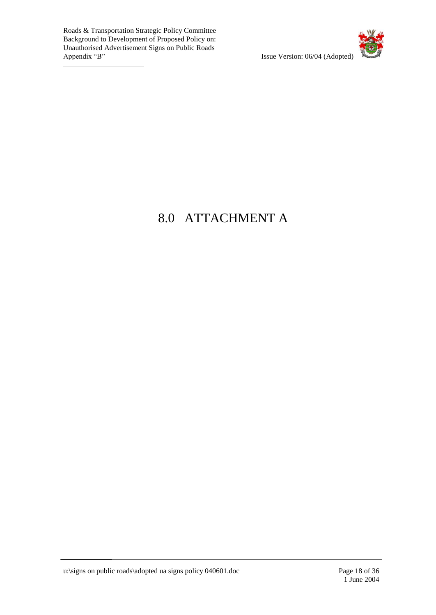

## 8.0 ATTACHMENT A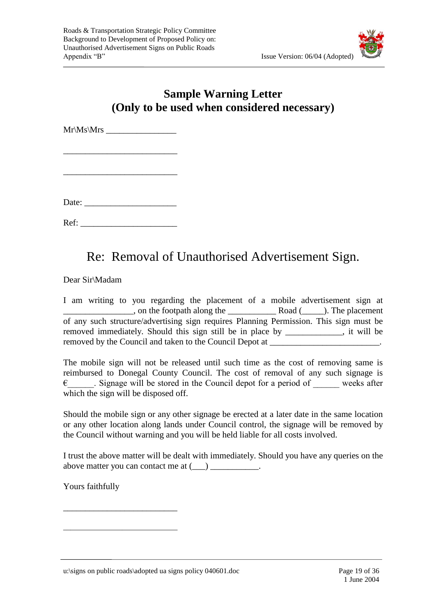

### **Sample Warning Letter (Only to be used when considered necessary)**

 $Mr\Ms\Mrs$ 

\_\_\_\_\_\_\_\_\_\_\_\_\_\_\_\_\_\_\_\_\_\_\_\_\_\_

\_\_\_\_\_\_\_\_\_\_\_\_\_\_\_\_\_\_\_\_\_\_\_\_\_\_

Date:

Ref: \_\_\_\_\_\_\_\_\_\_\_\_\_\_\_\_\_\_\_\_\_\_

### Re: Removal of Unauthorised Advertisement Sign.

Dear Sir\Madam

I am writing to you regarding the placement of a mobile advertisement sign at \_\_\_\_\_\_\_\_\_\_\_\_\_\_\_\_, on the footpath along the \_\_\_\_\_\_\_\_\_\_\_ Road (\_\_\_\_\_). The placement of any such structure/advertising sign requires Planning Permission. This sign must be removed immediately. Should this sign still be in place by \_\_\_\_\_\_\_\_\_\_\_\_\_, it will be removed by the Council and taken to the Council Depot at

The mobile sign will not be released until such time as the cost of removing same is reimbursed to Donegal County Council. The cost of removal of any such signage is  $\epsilon$  Signage will be stored in the Council depot for a period of weeks after which the sign will be disposed off.

Should the mobile sign or any other signage be erected at a later date in the same location or any other location along lands under Council control, the signage will be removed by the Council without warning and you will be held liable for all costs involved.

I trust the above matter will be dealt with immediately. Should you have any queries on the above matter you can contact me at  $(\_\_)$   $\_\_$ .

Yours faithfully

\_\_\_\_\_\_\_\_\_\_\_\_\_\_\_\_\_\_\_\_\_\_\_\_\_\_

\_\_\_\_\_\_\_\_\_\_\_\_\_\_\_\_\_\_\_\_\_\_\_\_\_\_\_\_\_\_\_

u:\signs on public roads\adopted ua signs policy 040601.doc Page 19 of 36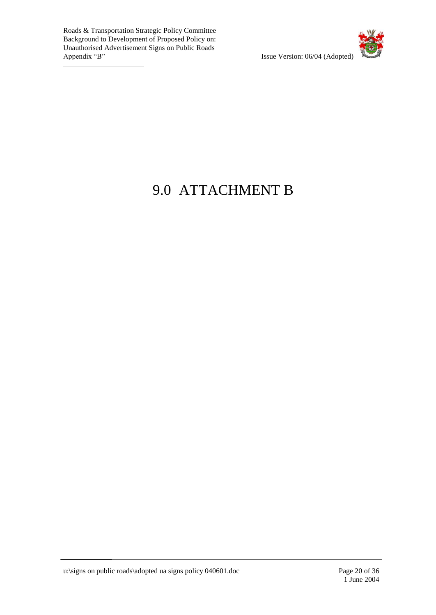

## 9.0 ATTACHMENT B

u:\signs on public roads\adopted ua signs policy 040601.doc Page 20 of 36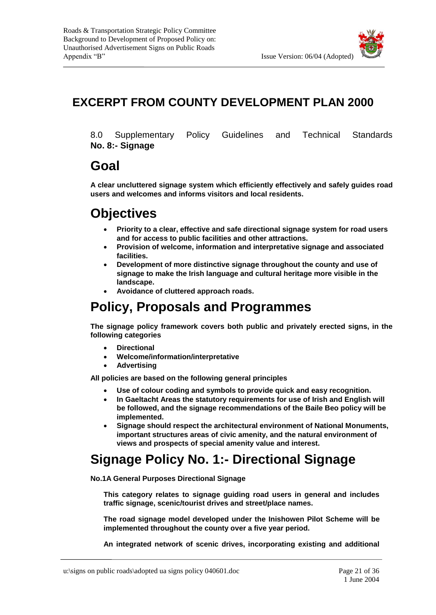### **EXCERPT FROM COUNTY DEVELOPMENT PLAN 2000**

8.0 Supplementary Policy Guidelines and Technical Standards **No. 8:- Signage**

### **Goal**

**A clear uncluttered signage system which efficiently effectively and safely guides road users and welcomes and informs visitors and local residents.**

## **Objectives**

- **Priority to a clear, effective and safe directional signage system for road users and for access to public facilities and other attractions.**
- **Provision of welcome, information and interpretative signage and associated facilities.**
- **Development of more distinctive signage throughout the county and use of signage to make the Irish language and cultural heritage more visible in the landscape.**
- **Avoidance of cluttered approach roads.**

## **Policy, Proposals and Programmes**

**The signage policy framework covers both public and privately erected signs, in the following categories**

- **Directional**
- **Welcome/information/interpretative**
- **Advertising**

**All policies are based on the following general principles**

- **Use of colour coding and symbols to provide quick and easy recognition.**
- **In Gaeltacht Areas the statutory requirements for use of Irish and English will be followed, and the signage recommendations of the Baile Beo policy will be implemented.**
- **Signage should respect the architectural environment of National Monuments, important structures areas of civic amenity, and the natural environment of views and prospects of special amenity value and interest.**

### **Signage Policy No. 1:- Directional Signage**

**No.1A General Purposes Directional Signage**

**This category relates to signage guiding road users in general and includes traffic signage, scenic/tourist drives and street/place names.**

**The road signage model developed under the Inishowen Pilot Scheme will be implemented throughout the county over a five year period.**

**An integrated network of scenic drives, incorporating existing and additional**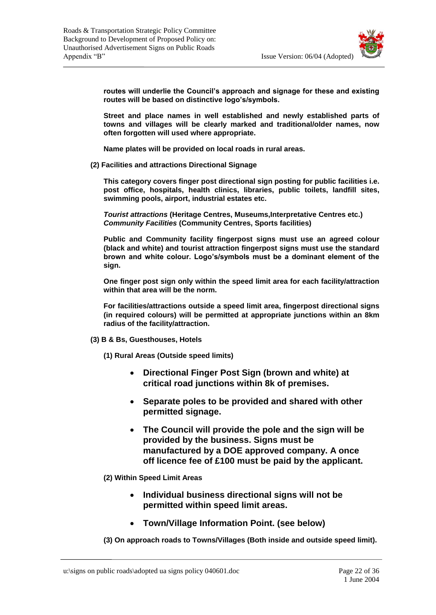

**routes will underlie the Council's approach and signage for these and existing routes will be based on distinctive logo's/symbols.**

**Street and place names in well established and newly established parts of towns and villages will be clearly marked and traditional/older names, now often forgotten will used where appropriate.**

**Name plates will be provided on local roads in rural areas.**

**(2) Facilities and attractions Directional Signage**

**This category covers finger post directional sign posting for public facilities i.e. post office, hospitals, health clinics, libraries, public toilets, landfill sites, swimming pools, airport, industrial estates etc.**

*Tourist attractions* **(Heritage Centres, Museums,Interpretative Centres etc.)** *Community Facilities* **(Community Centres, Sports facilities)**

**Public and Community facility fingerpost signs must use an agreed colour (black and white) and tourist attraction fingerpost signs must use the standard brown and white colour. Logo's/symbols must be a dominant element of the sign.**

**One finger post sign only within the speed limit area for each facility/attraction within that area will be the norm.**

**For facilities/attractions outside a speed limit area, fingerpost directional signs (in required colours) will be permitted at appropriate junctions within an 8km radius of the facility/attraction.**

- **(3) B & Bs, Guesthouses, Hotels**
	- **(1) Rural Areas (Outside speed limits)**
		- **Directional Finger Post Sign (brown and white) at critical road junctions within 8k of premises.**
		- **Separate poles to be provided and shared with other permitted signage.**
		- **The Council will provide the pole and the sign will be provided by the business. Signs must be manufactured by a DOE approved company. A once off licence fee of £100 must be paid by the applicant.**
	- **(2) Within Speed Limit Areas**
		- **Individual business directional signs will not be permitted within speed limit areas.**
		- **Town/Village Information Point. (see below)**

**(3) On approach roads to Towns/Villages (Both inside and outside speed limit).**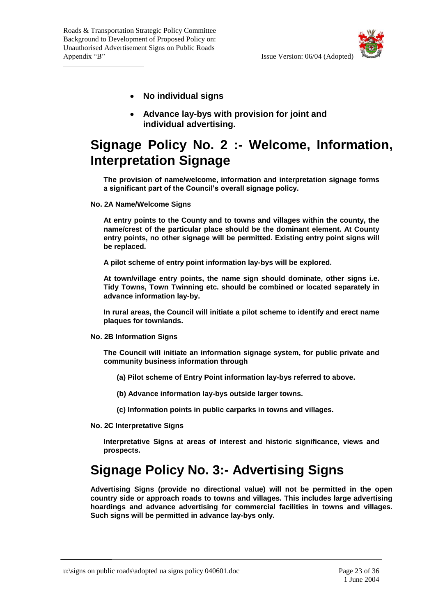

- **No individual signs**
- **Advance lay-bys with provision for joint and individual advertising.**

## **Signage Policy No. 2 :- Welcome, Information, Interpretation Signage**

**The provision of name/welcome, information and interpretation signage forms a significant part of the Council's overall signage policy.**

**No. 2A Name/Welcome Signs**

**At entry points to the County and to towns and villages within the county, the name/crest of the particular place should be the dominant element. At County entry points, no other signage will be permitted. Existing entry point signs will be replaced.**

**A pilot scheme of entry point information lay-bys will be explored.**

**At town/village entry points, the name sign should dominate, other signs i.e. Tidy Towns, Town Twinning etc. should be combined or located separately in advance information lay-by.**

**In rural areas, the Council will initiate a pilot scheme to identify and erect name plaques for townlands.**

**No. 2B Information Signs**

**The Council will initiate an information signage system, for public private and community business information through**

- **(a) Pilot scheme of Entry Point information lay-bys referred to above.**
- **(b) Advance information lay-bys outside larger towns.**
- **(c) Information points in public carparks in towns and villages.**
- **No. 2C Interpretative Signs**

**Interpretative Signs at areas of interest and historic significance, views and prospects.**

## **Signage Policy No. 3:- Advertising Signs**

**Advertising Signs (provide no directional value) will not be permitted in the open country side or approach roads to towns and villages. This includes large advertising hoardings and advance advertising for commercial facilities in towns and villages. Such signs will be permitted in advance lay-bys only.**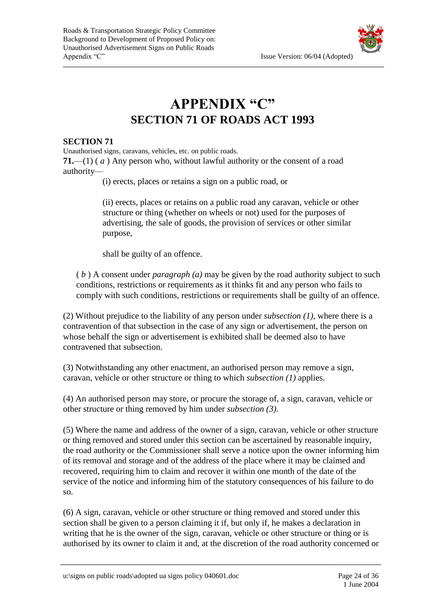

## **APPENDIX "C" SECTION 71 OF ROADS ACT 1993**

#### **SECTION 71**

Unauthorised signs, caravans, vehicles, etc. on public roads. **71.**—(1) ( *a* ) Any person who, without lawful authority or the consent of a road authority—

(i) erects, places or retains a sign on a public road, or

(ii) erects, places or retains on a public road any caravan, vehicle or other structure or thing (whether on wheels or not) used for the purposes of advertising, the sale of goods, the provision of services or other similar purpose,

shall be guilty of an offence.

( *b* ) A consent under *paragraph (a)* may be given by the road authority subject to such conditions, restrictions or requirements as it thinks fit and any person who fails to comply with such conditions, restrictions or requirements shall be guilty of an offence.

(2) Without prejudice to the liability of any person under *subsection (1)*, where there is a contravention of that subsection in the case of any sign or advertisement, the person on whose behalf the sign or advertisement is exhibited shall be deemed also to have contravened that subsection.

(3) Notwithstanding any other enactment, an authorised person may remove a sign, caravan, vehicle or other structure or thing to which *subsection (1)* applies.

(4) An authorised person may store, or procure the storage of, a sign, caravan, vehicle or other structure or thing removed by him under *subsection (3)*.

(5) Where the name and address of the owner of a sign, caravan, vehicle or other structure or thing removed and stored under this section can be ascertained by reasonable inquiry, the road authority or the Commissioner shall serve a notice upon the owner informing him of its removal and storage and of the address of the place where it may be claimed and recovered, requiring him to claim and recover it within one month of the date of the service of the notice and informing him of the statutory consequences of his failure to do so.

(6) A sign, caravan, vehicle or other structure or thing removed and stored under this section shall be given to a person claiming it if, but only if, he makes a declaration in writing that he is the owner of the sign, caravan, vehicle or other structure or thing or is authorised by its owner to claim it and, at the discretion of the road authority concerned or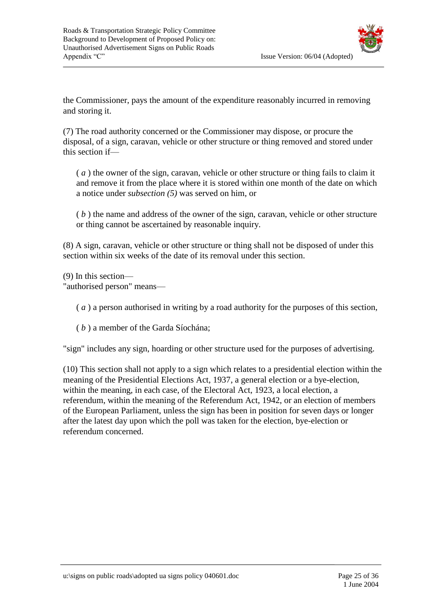

the Commissioner, pays the amount of the expenditure reasonably incurred in removing and storing it.

(7) The road authority concerned or the Commissioner may dispose, or procure the disposal, of a sign, caravan, vehicle or other structure or thing removed and stored under this section if—

( *a* ) the owner of the sign, caravan, vehicle or other structure or thing fails to claim it and remove it from the place where it is stored within one month of the date on which a notice under *subsection (5)* was served on him, or

( *b* ) the name and address of the owner of the sign, caravan, vehicle or other structure or thing cannot be ascertained by reasonable inquiry.

(8) A sign, caravan, vehicle or other structure or thing shall not be disposed of under this section within six weeks of the date of its removal under this section.

(9) In this section—

"authorised person" means—

( *a* ) a person authorised in writing by a road authority for the purposes of this section,

( *b* ) a member of the Garda Síochána;

"sign" includes any sign, hoarding or other structure used for the purposes of advertising.

(10) This section shall not apply to a sign which relates to a presidential election within the meaning of the [Presidential Elections Act, 1937,](file:///C:/ZZA32Y1937.html) a general election or a bye-election, within the meaning, in each case, of the [Electoral Act, 1923,](file:///C:/ZZA12Y1923.html) a local election, a referendum, within the meaning of the Referendum Act, 1942, or an election of members of the European Parliament, unless the sign has been in position for seven days or longer after the latest day upon which the poll was taken for the election, bye-election or referendum concerned.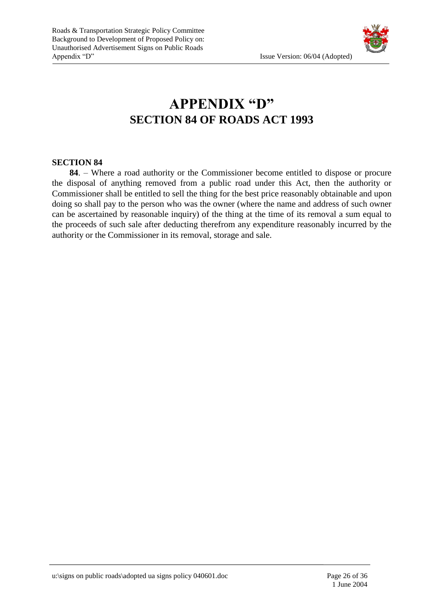

## **APPENDIX "D" SECTION 84 OF ROADS ACT 1993**

#### **SECTION 84**

 **84**. – Where a road authority or the Commissioner become entitled to dispose or procure the disposal of anything removed from a public road under this Act, then the authority or Commissioner shall be entitled to sell the thing for the best price reasonably obtainable and upon doing so shall pay to the person who was the owner (where the name and address of such owner can be ascertained by reasonable inquiry) of the thing at the time of its removal a sum equal to the proceeds of such sale after deducting therefrom any expenditure reasonably incurred by the authority or the Commissioner in its removal, storage and sale.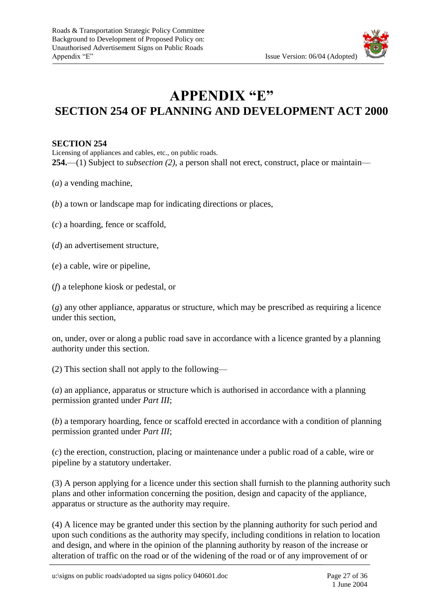

### **APPENDIX "E" SECTION 254 OF PLANNING AND DEVELOPMENT ACT 2000**

#### **SECTION 254**

Licensing of appliances and cables, etc., on public roads. **254.**—(1) Subject to *subsection (2)*, a person shall not erect, construct, place or maintain—

- (*a*) a vending machine,
- (*b*) a town or landscape map for indicating directions or places,
- (*c*) a hoarding, fence or scaffold,
- (*d*) an advertisement structure,
- (*e*) a cable, wire or pipeline,
- (*f*) a telephone kiosk or pedestal, or

(*g*) any other appliance, apparatus or structure, which may be prescribed as requiring a licence under this section,

on, under, over or along a public road save in accordance with a licence granted by a planning authority under this section.

(2) This section shall not apply to the following—

(*a*) an appliance, apparatus or structure which is authorised in accordance with a planning permission granted under *Part III*;

(*b*) a temporary hoarding, fence or scaffold erected in accordance with a condition of planning permission granted under *Part III*;

(*c*) the erection, construction, placing or maintenance under a public road of a cable, wire or pipeline by a statutory undertaker.

(3) A person applying for a licence under this section shall furnish to the planning authority such plans and other information concerning the position, design and capacity of the appliance, apparatus or structure as the authority may require.

(4) A licence may be granted under this section by the planning authority for such period and upon such conditions as the authority may specify, including conditions in relation to location and design, and where in the opinion of the planning authority by reason of the increase or alteration of traffic on the road or of the widening of the road or of any improvement of or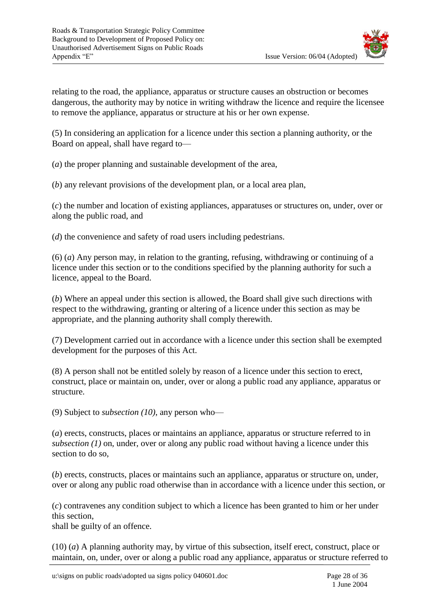

relating to the road, the appliance, apparatus or structure causes an obstruction or becomes dangerous, the authority may by notice in writing withdraw the licence and require the licensee to remove the appliance, apparatus or structure at his or her own expense.

(5) In considering an application for a licence under this section a planning authority, or the Board on appeal, shall have regard to—

(*a*) the proper planning and sustainable development of the area,

(*b*) any relevant provisions of the development plan, or a local area plan,

(*c*) the number and location of existing appliances, apparatuses or structures on, under, over or along the public road, and

(*d*) the convenience and safety of road users including pedestrians.

(6) (*a*) Any person may, in relation to the granting, refusing, withdrawing or continuing of a licence under this section or to the conditions specified by the planning authority for such a licence, appeal to the Board.

(*b*) Where an appeal under this section is allowed, the Board shall give such directions with respect to the withdrawing, granting or altering of a licence under this section as may be appropriate, and the planning authority shall comply therewith.

(7) Development carried out in accordance with a licence under this section shall be exempted development for the purposes of this Act.

(8) A person shall not be entitled solely by reason of a licence under this section to erect, construct, place or maintain on, under, over or along a public road any appliance, apparatus or structure.

(9) Subject to *subsection (10)*, any person who—

(*a*) erects, constructs, places or maintains an appliance, apparatus or structure referred to in *subsection (1)* on, under, over or along any public road without having a licence under this section to do so,

(*b*) erects, constructs, places or maintains such an appliance, apparatus or structure on, under, over or along any public road otherwise than in accordance with a licence under this section, or

(*c*) contravenes any condition subject to which a licence has been granted to him or her under this section,

shall be guilty of an offence.

(10) (*a*) A planning authority may, by virtue of this subsection, itself erect, construct, place or maintain, on, under, over or along a public road any appliance, apparatus or structure referred to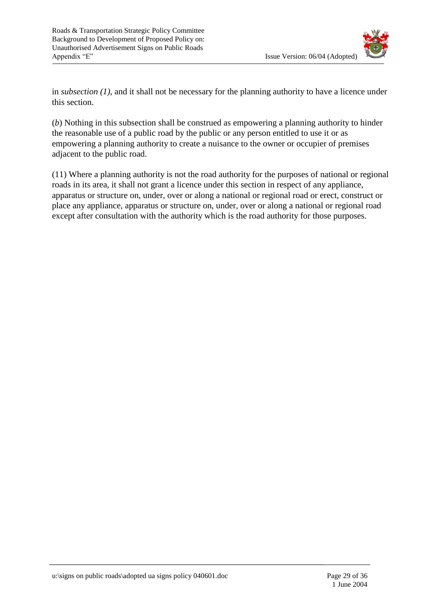

in *subsection (1)*, and it shall not be necessary for the planning authority to have a licence under this section.

(*b*) Nothing in this subsection shall be construed as empowering a planning authority to hinder the reasonable use of a public road by the public or any person entitled to use it or as empowering a planning authority to create a nuisance to the owner or occupier of premises adjacent to the public road.

(11) Where a planning authority is not the road authority for the purposes of national or regional roads in its area, it shall not grant a licence under this section in respect of any appliance, apparatus or structure on, under, over or along a national or regional road or erect, construct or place any appliance, apparatus or structure on, under, over or along a national or regional road except after consultation with the authority which is the road authority for those purposes.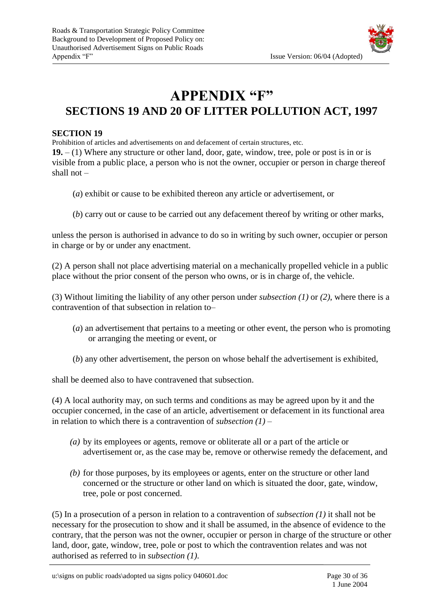### **APPENDIX "F" SECTIONS 19 AND 20 OF LITTER POLLUTION ACT, 1997**

#### **SECTION 19**

Prohibition of articles and advertisements on and defacement of certain structures, etc. **19.** – (1) Where any structure or other land, door, gate, window, tree, pole or post is in or is visible from a public place, a person who is not the owner, occupier or person in charge thereof shall not –

- (*a*) exhibit or cause to be exhibited thereon any article or advertisement, or
- (*b*) carry out or cause to be carried out any defacement thereof by writing or other marks,

unless the person is authorised in advance to do so in writing by such owner, occupier or person in charge or by or under any enactment.

(2) A person shall not place advertising material on a mechanically propelled vehicle in a public place without the prior consent of the person who owns, or is in charge of, the vehicle.

(3) Without limiting the liability of any other person under *subsection (1)* or *(2)*, where there is a contravention of that subsection in relation to–

- (*a*) an advertisement that pertains to a meeting or other event, the person who is promoting or arranging the meeting or event, or
- (*b*) any other advertisement, the person on whose behalf the advertisement is exhibited,

shall be deemed also to have contravened that subsection.

(4) A local authority may, on such terms and conditions as may be agreed upon by it and the occupier concerned, in the case of an article, advertisement or defacement in its functional area in relation to which there is a contravention of *subsection (1)* –

- *(a)* by its employees or agents, remove or obliterate all or a part of the article or advertisement or, as the case may be, remove or otherwise remedy the defacement, and
- *(b)* for those purposes, by its employees or agents, enter on the structure or other land concerned or the structure or other land on which is situated the door, gate, window, tree, pole or post concerned.

(5) In a prosecution of a person in relation to a contravention of *subsection (1)* it shall not be necessary for the prosecution to show and it shall be assumed, in the absence of evidence to the contrary, that the person was not the owner, occupier or person in charge of the structure or other land, door, gate, window, tree, pole or post to which the contravention relates and was not authorised as referred to in *subsection (1)*.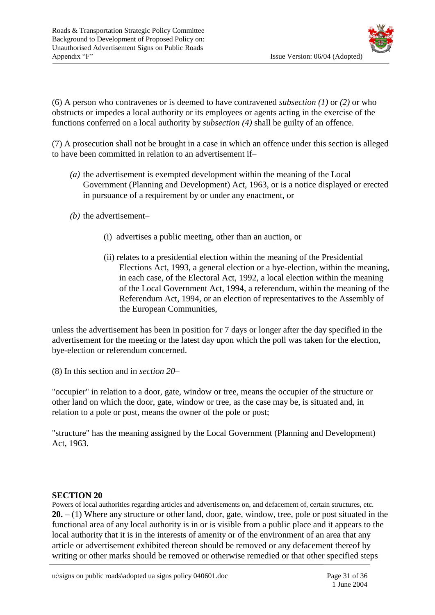

(6) A person who contravenes or is deemed to have contravened *subsection (1)* or *(2)* or who obstructs or impedes a local authority or its employees or agents acting in the exercise of the functions conferred on a local authority by *subsection (4)* shall be guilty of an offence.

(7) A prosecution shall not be brought in a case in which an offence under this section is alleged to have been committed in relation to an advertisement if–

- *(a)* the advertisement is exempted development within the meaning of the Local Government (Planning and Development) Act, 1963, or is a notice displayed or erected in pursuance of a requirement by or under any enactment, or
- *(b)* the advertisement–
	- (i) advertises a public meeting, other than an auction, or
	- (ii) relates to a presidential election within the meaning of the Presidential Elections Act, 1993, a general election or a bye-election, within the meaning, in each case, of the Electoral Act, 1992, a local election within the meaning of the Local Government Act, 1994, a referendum, within the meaning of the Referendum Act, 1994, or an election of representatives to the Assembly of the European Communities,

unless the advertisement has been in position for 7 days or longer after the day specified in the advertisement for the meeting or the latest day upon which the poll was taken for the election, bye-election or referendum concerned.

(8) In this section and in *section 20*–

"occupier" in relation to a door, gate, window or tree, means the occupier of the structure or other land on which the door, gate, window or tree, as the case may be, is situated and, in relation to a pole or post, means the owner of the pole or post;

"structure" has the meaning assigned by the Local Government (Planning and Development) Act, 1963.

#### **SECTION 20**

Powers of local authorities regarding articles and advertisements on, and defacement of, certain structures, etc. **20.** – (1) Where any structure or other land, door, gate, window, tree, pole or post situated in the functional area of any local authority is in or is visible from a public place and it appears to the local authority that it is in the interests of amenity or of the environment of an area that any article or advertisement exhibited thereon should be removed or any defacement thereof by writing or other marks should be removed or otherwise remedied or that other specified steps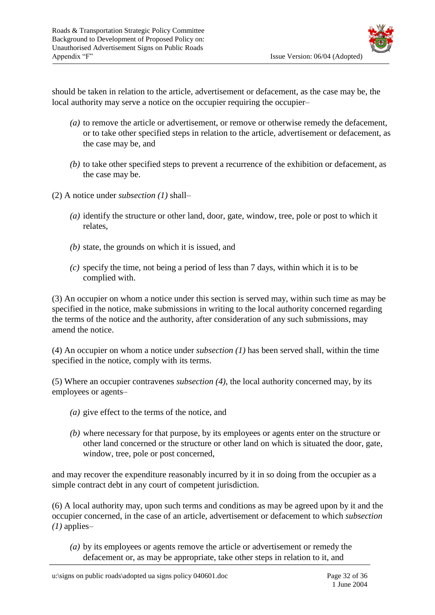

should be taken in relation to the article, advertisement or defacement, as the case may be, the local authority may serve a notice on the occupier requiring the occupier-

- *(a)* to remove the article or advertisement, or remove or otherwise remedy the defacement, or to take other specified steps in relation to the article, advertisement or defacement, as the case may be, and
- *(b)* to take other specified steps to prevent a recurrence of the exhibition or defacement, as the case may be.
- (2) A notice under *subsection (1)* shall–
	- *(a)* identify the structure or other land, door, gate, window, tree, pole or post to which it relates,
	- *(b)* state, the grounds on which it is issued, and
	- *(c)* specify the time, not being a period of less than 7 days, within which it is to be complied with.

(3) An occupier on whom a notice under this section is served may, within such time as may be specified in the notice, make submissions in writing to the local authority concerned regarding the terms of the notice and the authority, after consideration of any such submissions, may amend the notice.

(4) An occupier on whom a notice under *subsection (1)* has been served shall, within the time specified in the notice, comply with its terms.

(5) Where an occupier contravenes *subsection (4)*, the local authority concerned may, by its employees or agents–

- *(a)* give effect to the terms of the notice, and
- *(b)* where necessary for that purpose, by its employees or agents enter on the structure or other land concerned or the structure or other land on which is situated the door, gate, window, tree, pole or post concerned,

and may recover the expenditure reasonably incurred by it in so doing from the occupier as a simple contract debt in any court of competent jurisdiction.

(6) A local authority may, upon such terms and conditions as may be agreed upon by it and the occupier concerned, in the case of an article, advertisement or defacement to which *subsection (1)* applies–

*(a)* by its employees or agents remove the article or advertisement or remedy the defacement or, as may be appropriate, take other steps in relation to it, and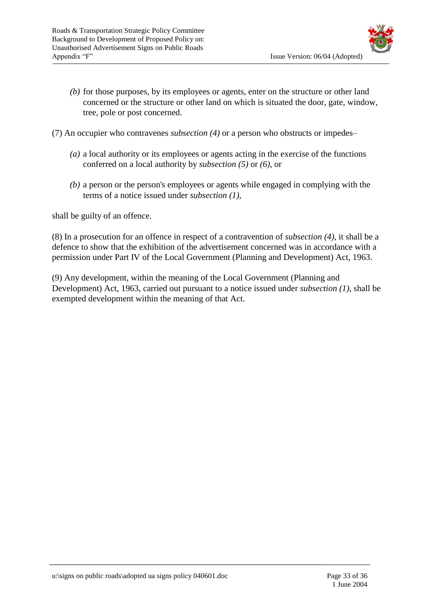

- *(b)* for those purposes, by its employees or agents, enter on the structure or other land concerned or the structure or other land on which is situated the door, gate, window, tree, pole or post concerned.
- (7) An occupier who contravenes *subsection (4)* or a person who obstructs or impedes–
	- *(a)* a local authority or its employees or agents acting in the exercise of the functions conferred on a local authority by *subsection (5)* or *(6)*, or
	- *(b)* a person or the person's employees or agents while engaged in complying with the terms of a notice issued under *subsection (1)*,

shall be guilty of an offence.

(8) In a prosecution for an offence in respect of a contravention of *subsection (4)*, it shall be a defence to show that the exhibition of the advertisement concerned was in accordance with a permission under Part IV of the Local Government (Planning and Development) Act, 1963.

(9) Any development, within the meaning of the Local Government (Planning and Development) Act, 1963, carried out pursuant to a notice issued under *subsection (1)*, shall be exempted development within the meaning of that Act.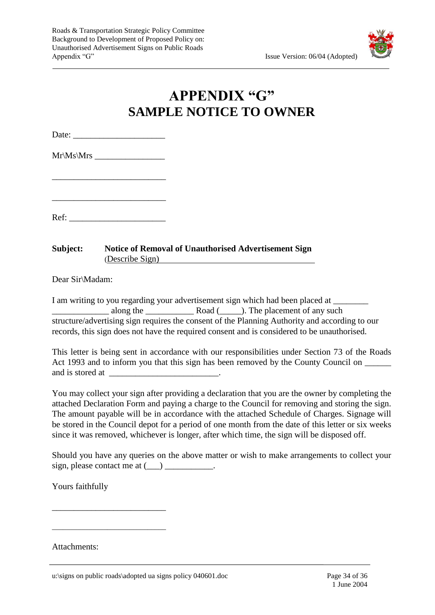

## **APPENDIX "G" SAMPLE NOTICE TO OWNER**

Date:

Mr\Ms\Mrs \_\_\_\_\_\_\_\_\_\_\_\_\_\_\_\_

\_\_\_\_\_\_\_\_\_\_\_\_\_\_\_\_\_\_\_\_\_\_\_\_\_\_

Ref:

\_\_\_\_\_\_\_\_\_\_\_\_\_\_\_\_\_\_\_\_\_\_\_\_\_\_

**Subject: Notice of Removal of Unauthorised Advertisement Sign** (Describe Sign)

Dear Sir\Madam:

I am writing to you regarding your advertisement sign which had been placed at  $\Box$ along the **Example 20** Road (2014). The placement of any such structure/advertising sign requires the consent of the Planning Authority and according to our records, this sign does not have the required consent and is considered to be unauthorised.

This letter is being sent in accordance with our responsibilities under Section 73 of the Roads Act 1993 and to inform you that this sign has been removed by the County Council on  $\frac{1}{\sqrt{1-\frac{1}{\sqrt{1-\frac{1}{\sqrt{1-\frac{1}{\sqrt{1-\frac{1}{\sqrt{1-\frac{1}{\sqrt{1-\frac{1}{\sqrt{1-\frac{1}{\sqrt{1-\frac{1}{\sqrt{1-\frac{1}{\sqrt{1-\frac{1}{\sqrt{1-\frac{1}{\sqrt{1-\frac{1}{\sqrt{1-\frac{1}{\sqrt{1-\frac{1}{\sqrt{1-\frac$ and is stored at  $\blacksquare$ 

You may collect your sign after providing a declaration that you are the owner by completing the attached Declaration Form and paying a charge to the Council for removing and storing the sign. The amount payable will be in accordance with the attached Schedule of Charges. Signage will be stored in the Council depot for a period of one month from the date of this letter or six weeks since it was removed, whichever is longer, after which time, the sign will be disposed off.

Should you have any queries on the above matter or wish to make arrangements to collect your sign, please contact me at  $(\_\_)$   $\_\_$ .

Yours faithfully

\_\_\_\_\_\_\_\_\_\_\_\_\_\_\_\_\_\_\_\_\_\_\_\_\_\_

\_\_\_\_\_\_\_\_\_\_\_\_\_\_\_\_\_\_\_\_\_\_\_\_\_\_\_\_\_\_\_

Attachments: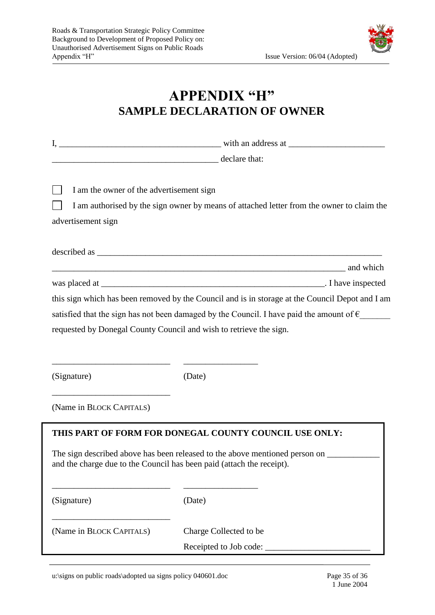

### **APPENDIX "H" SAMPLE DECLARATION OF OWNER**

| declare that:<br>I am the owner of the advertisement sign<br>I am authorised by the sign owner by means of attached letter from the owner to claim the<br>advertisement sign<br>and which and which<br>this sign which has been removed by the Council and is in storage at the Council Depot and I am<br>satisfied that the sign has not been damaged by the Council. I have paid the amount of $\epsilon$<br>requested by Donegal County Council and wish to retrieve the sign.<br>(Signature)<br>(Date)<br>(Name in BLOCK CAPITALS)<br>THIS PART OF FORM FOR DONEGAL COUNTY COUNCIL USE ONLY:<br>The sign described above has been released to the above mentioned person on<br>and the charge due to the Council has been paid (attach the receipt).<br>(Signature)<br>(Date)<br>(Name in BLOCK CAPITALS)<br>Charge Collected to be |  |  |  |  |
|-----------------------------------------------------------------------------------------------------------------------------------------------------------------------------------------------------------------------------------------------------------------------------------------------------------------------------------------------------------------------------------------------------------------------------------------------------------------------------------------------------------------------------------------------------------------------------------------------------------------------------------------------------------------------------------------------------------------------------------------------------------------------------------------------------------------------------------------|--|--|--|--|
|                                                                                                                                                                                                                                                                                                                                                                                                                                                                                                                                                                                                                                                                                                                                                                                                                                         |  |  |  |  |
|                                                                                                                                                                                                                                                                                                                                                                                                                                                                                                                                                                                                                                                                                                                                                                                                                                         |  |  |  |  |
|                                                                                                                                                                                                                                                                                                                                                                                                                                                                                                                                                                                                                                                                                                                                                                                                                                         |  |  |  |  |
|                                                                                                                                                                                                                                                                                                                                                                                                                                                                                                                                                                                                                                                                                                                                                                                                                                         |  |  |  |  |
|                                                                                                                                                                                                                                                                                                                                                                                                                                                                                                                                                                                                                                                                                                                                                                                                                                         |  |  |  |  |
|                                                                                                                                                                                                                                                                                                                                                                                                                                                                                                                                                                                                                                                                                                                                                                                                                                         |  |  |  |  |
|                                                                                                                                                                                                                                                                                                                                                                                                                                                                                                                                                                                                                                                                                                                                                                                                                                         |  |  |  |  |
|                                                                                                                                                                                                                                                                                                                                                                                                                                                                                                                                                                                                                                                                                                                                                                                                                                         |  |  |  |  |
|                                                                                                                                                                                                                                                                                                                                                                                                                                                                                                                                                                                                                                                                                                                                                                                                                                         |  |  |  |  |
|                                                                                                                                                                                                                                                                                                                                                                                                                                                                                                                                                                                                                                                                                                                                                                                                                                         |  |  |  |  |
|                                                                                                                                                                                                                                                                                                                                                                                                                                                                                                                                                                                                                                                                                                                                                                                                                                         |  |  |  |  |
|                                                                                                                                                                                                                                                                                                                                                                                                                                                                                                                                                                                                                                                                                                                                                                                                                                         |  |  |  |  |
|                                                                                                                                                                                                                                                                                                                                                                                                                                                                                                                                                                                                                                                                                                                                                                                                                                         |  |  |  |  |
|                                                                                                                                                                                                                                                                                                                                                                                                                                                                                                                                                                                                                                                                                                                                                                                                                                         |  |  |  |  |
|                                                                                                                                                                                                                                                                                                                                                                                                                                                                                                                                                                                                                                                                                                                                                                                                                                         |  |  |  |  |
|                                                                                                                                                                                                                                                                                                                                                                                                                                                                                                                                                                                                                                                                                                                                                                                                                                         |  |  |  |  |
|                                                                                                                                                                                                                                                                                                                                                                                                                                                                                                                                                                                                                                                                                                                                                                                                                                         |  |  |  |  |
|                                                                                                                                                                                                                                                                                                                                                                                                                                                                                                                                                                                                                                                                                                                                                                                                                                         |  |  |  |  |
|                                                                                                                                                                                                                                                                                                                                                                                                                                                                                                                                                                                                                                                                                                                                                                                                                                         |  |  |  |  |
|                                                                                                                                                                                                                                                                                                                                                                                                                                                                                                                                                                                                                                                                                                                                                                                                                                         |  |  |  |  |
|                                                                                                                                                                                                                                                                                                                                                                                                                                                                                                                                                                                                                                                                                                                                                                                                                                         |  |  |  |  |
|                                                                                                                                                                                                                                                                                                                                                                                                                                                                                                                                                                                                                                                                                                                                                                                                                                         |  |  |  |  |
|                                                                                                                                                                                                                                                                                                                                                                                                                                                                                                                                                                                                                                                                                                                                                                                                                                         |  |  |  |  |
| Receipted to Job code:                                                                                                                                                                                                                                                                                                                                                                                                                                                                                                                                                                                                                                                                                                                                                                                                                  |  |  |  |  |